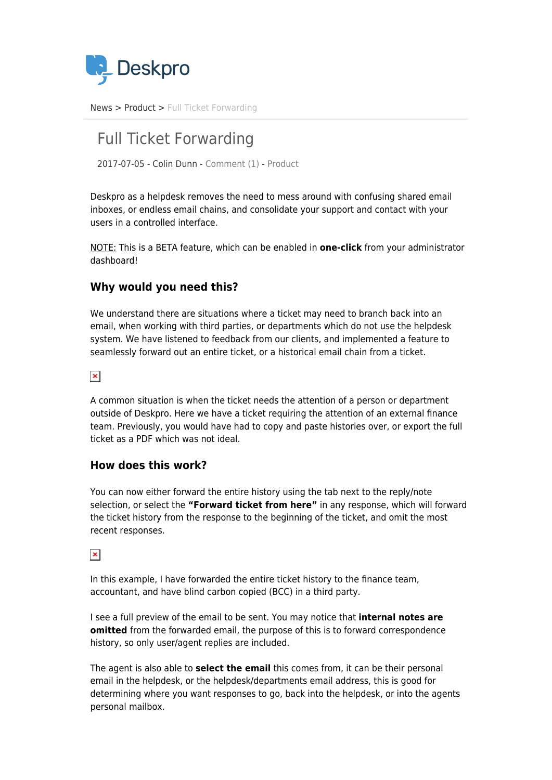

[News](https://support.deskpro.com/ro/news) > [Product](https://support.deskpro.com/ro/news/product) > [Full Ticket Forwarding](https://support.deskpro.com/ro/news/posts/full-ticket-forwarding)

# Full Ticket Forwarding

2017-07-05 - Colin Dunn - [Comment \(1\)](#page--1-0) - [Product](https://support.deskpro.com/ro/news/product)

Deskpro as a helpdesk removes the need to mess around with confusing shared email inboxes, or endless email chains, and consolidate your support and contact with your users in a controlled interface.

NOTE: This is a BETA feature, which can be enabled in **one-click** from your administrator dashboard!

# **Why would you need this?**

We understand there are situations where a ticket may need to branch back into an email, when working with third parties, or departments which do not use the helpdesk system. We have listened to feedback from our clients, and implemented a feature to seamlessly forward out an entire ticket, or a historical email chain from a ticket.

 $\pmb{\times}$ 

A common situation is when the ticket needs the attention of a person or department outside of Deskpro. Here we have a ticket requiring the attention of an external finance team. Previously, you would have had to copy and paste histories over, or export the full ticket as a PDF which was not ideal.

# **How does this work?**

You can now either forward the entire history using the tab next to the reply/note selection, or select the **"Forward ticket from here"** in any response, which will forward the ticket history from the response to the beginning of the ticket, and omit the most recent responses.

 $\pmb{\times}$ 

In this example, I have forwarded the entire ticket history to the finance team, accountant, and have blind carbon copied (BCC) in a third party.

I see a full preview of the email to be sent. You may notice that **internal notes are omitted** from the forwarded email, the purpose of this is to forward correspondence history, so only user/agent replies are included.

The agent is also able to **select the email** this comes from, it can be their personal email in the helpdesk, or the helpdesk/departments email address, this is good for determining where you want responses to go, back into the helpdesk, or into the agents personal mailbox.